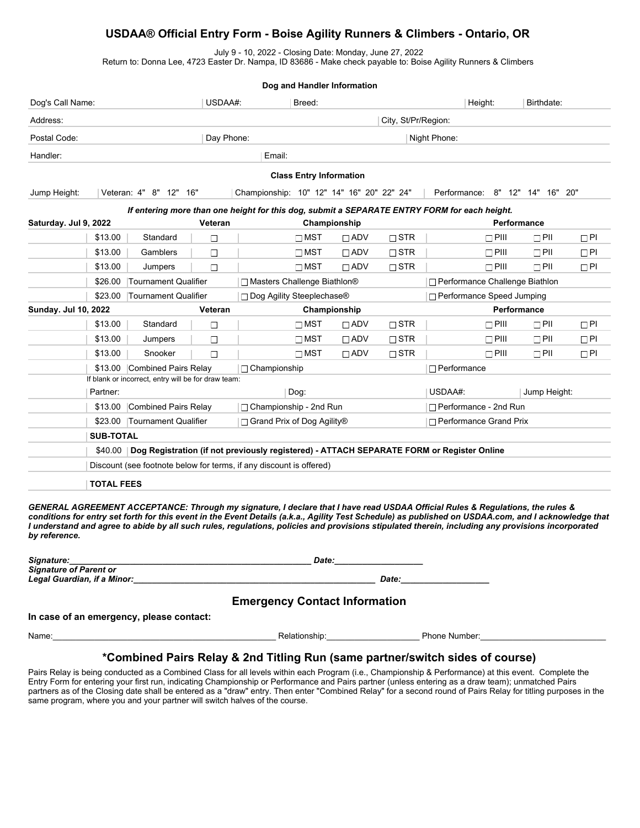## **USDAA® Official Entry Form - Boise Agility Runners & Climbers - Ontario, OR**

July 9 - 10, 2022 - Closing Date: Monday, June 27, 2022

Return to: Donna Lee, 4723 Easter Dr. Nampa, ID 83686 - Make check payable to: Boise Agility Runners & Climbers

| Dog and Handler Information                                                                  |                                                                                                      |                                                                                                                                                                                                                                                                                                           |                               |                                           |                                |                          |                     |                                  |              |                                 |           |  |
|----------------------------------------------------------------------------------------------|------------------------------------------------------------------------------------------------------|-----------------------------------------------------------------------------------------------------------------------------------------------------------------------------------------------------------------------------------------------------------------------------------------------------------|-------------------------------|-------------------------------------------|--------------------------------|--------------------------|---------------------|----------------------------------|--------------|---------------------------------|-----------|--|
| Dog's Call Name:                                                                             |                                                                                                      |                                                                                                                                                                                                                                                                                                           | USDAA#:                       |                                           | Breed:                         |                          |                     |                                  | Height:      | Birthdate:                      |           |  |
| Address:                                                                                     |                                                                                                      |                                                                                                                                                                                                                                                                                                           |                               |                                           |                                |                          | City, St/Pr/Region: |                                  |              |                                 |           |  |
| Postal Code:                                                                                 | Day Phone:                                                                                           |                                                                                                                                                                                                                                                                                                           |                               | Night Phone:                              |                                |                          |                     |                                  |              |                                 |           |  |
| Handler:                                                                                     |                                                                                                      |                                                                                                                                                                                                                                                                                                           |                               | Email:                                    |                                |                          |                     |                                  |              |                                 |           |  |
|                                                                                              |                                                                                                      |                                                                                                                                                                                                                                                                                                           |                               |                                           | <b>Class Entry Information</b> |                          |                     |                                  |              |                                 |           |  |
|                                                                                              |                                                                                                      | Veteran: 4" 8" 12" 16"                                                                                                                                                                                                                                                                                    |                               | Championship: 10" 12" 14" 16" 20" 22" 24" |                                |                          |                     |                                  |              | Performance: 8" 12" 14" 16" 20" |           |  |
| Jump Height:                                                                                 |                                                                                                      |                                                                                                                                                                                                                                                                                                           |                               |                                           |                                |                          |                     |                                  |              |                                 |           |  |
| If entering more than one height for this dog, submit a SEPARATE ENTRY FORM for each height. |                                                                                                      |                                                                                                                                                                                                                                                                                                           |                               |                                           |                                |                          |                     |                                  |              |                                 |           |  |
| Saturday. Jul 9, 2022                                                                        |                                                                                                      |                                                                                                                                                                                                                                                                                                           | Veteran                       |                                           |                                | Championship             |                     |                                  |              | Performance                     |           |  |
|                                                                                              | \$13.00                                                                                              | Standard                                                                                                                                                                                                                                                                                                  | $\Box$                        |                                           | $\Box$ MST                     | $\Box$ ADV               | $\Box$ STR          |                                  | $\Box$ PIII  | $\Box$ PII                      | $\Box$ PI |  |
|                                                                                              | \$13.00                                                                                              | Gamblers                                                                                                                                                                                                                                                                                                  | $\Box$                        |                                           | $\Box$ MST                     | $\Box$ ADV               | $\Box$ STR          |                                  | $\Box$ PIII  | $\Box$ PII                      | $\Box$ Pl |  |
|                                                                                              | \$13.00                                                                                              | Jumpers                                                                                                                                                                                                                                                                                                   | $\Box$                        |                                           | $\Box$ MST                     | $\Box$ ADV               | $\Box$ STR          |                                  | $\Box$ PIII  | $\Box$ PII                      | $\Box$ PI |  |
|                                                                                              | \$26.00                                                                                              | <b>Tournament Qualifier</b>                                                                                                                                                                                                                                                                               | □ Masters Challenge Biathlon® |                                           |                                |                          |                     | □ Performance Challenge Biathlon |              |                                 |           |  |
|                                                                                              | \$23.00                                                                                              | <b>Tournament Qualifier</b>                                                                                                                                                                                                                                                                               |                               | □ Dog Agility Steeplechase®               |                                |                          |                     | □ Performance Speed Jumping      |              |                                 |           |  |
| Sunday. Jul 10, 2022                                                                         |                                                                                                      |                                                                                                                                                                                                                                                                                                           | Veteran                       |                                           |                                | Championship             |                     |                                  | Performance  |                                 |           |  |
|                                                                                              | \$13.00                                                                                              | Standard                                                                                                                                                                                                                                                                                                  | $\Box$                        |                                           | $\Box$ MST                     | $\Box$ ADV               | $\Box$ STR          |                                  | $\Box$ PIII  | $\Box$ PII                      | $\Box$ Pl |  |
|                                                                                              | \$13.00                                                                                              | Jumpers                                                                                                                                                                                                                                                                                                   | $\Box$                        |                                           | $\Box$ MST                     | $\Box$ ADV               | $\Box$ STR          |                                  | $\Box$ PIII  | $\Box$ PII                      | $\Box$ Pl |  |
|                                                                                              | \$13.00                                                                                              | Snooker                                                                                                                                                                                                                                                                                                   | $\Box$                        |                                           | $\Box$ MST                     | $\Box$ ADV               | $\Box$ STR          |                                  | $\Box$ PIII  | $\Box$ PII                      | $\Box$ Pl |  |
|                                                                                              | \$13.00 Combined Pairs Relay                                                                         |                                                                                                                                                                                                                                                                                                           |                               | $\Box$ Championship                       |                                |                          |                     | $\Box$ Performance               |              |                                 |           |  |
|                                                                                              |                                                                                                      | If blank or incorrect, entry will be for draw team:                                                                                                                                                                                                                                                       |                               |                                           |                                |                          |                     |                                  |              |                                 |           |  |
|                                                                                              | Partner:                                                                                             | Dog:                                                                                                                                                                                                                                                                                                      |                               |                                           |                                |                          | USDAA#:             |                                  | Jump Height: |                                 |           |  |
|                                                                                              | \$13.00                                                                                              | Combined Pairs Relay                                                                                                                                                                                                                                                                                      |                               |                                           | $\Box$ Championship - 2nd Run  |                          |                     | $\Box$ Performance - 2nd Run     |              |                                 |           |  |
|                                                                                              | \$23.00                                                                                              | Tournament Qualifier<br>□ Grand Prix of Dog Agility®                                                                                                                                                                                                                                                      |                               |                                           |                                | □ Performance Grand Prix |                     |                                  |              |                                 |           |  |
|                                                                                              | <b>SUB-TOTAL</b>                                                                                     |                                                                                                                                                                                                                                                                                                           |                               |                                           |                                |                          |                     |                                  |              |                                 |           |  |
|                                                                                              | Dog Registration (if not previously registered) - ATTACH SEPARATE FORM or Register Online<br>\$40.00 |                                                                                                                                                                                                                                                                                                           |                               |                                           |                                |                          |                     |                                  |              |                                 |           |  |
|                                                                                              | Discount (see footnote below for terms, if any discount is offered)                                  |                                                                                                                                                                                                                                                                                                           |                               |                                           |                                |                          |                     |                                  |              |                                 |           |  |
|                                                                                              | <b>TOTAL FEES</b>                                                                                    |                                                                                                                                                                                                                                                                                                           |                               |                                           |                                |                          |                     |                                  |              |                                 |           |  |
|                                                                                              |                                                                                                      |                                                                                                                                                                                                                                                                                                           |                               |                                           |                                |                          |                     |                                  |              |                                 |           |  |
|                                                                                              |                                                                                                      | GENERAL AGREEMENT ACCEPTANCE: Through my signature, I declare that I have read USDAA Official Rules & Regulations, the rules &                                                                                                                                                                            |                               |                                           |                                |                          |                     |                                  |              |                                 |           |  |
|                                                                                              |                                                                                                      | conditions for entry set forth for this event in the Event Details (a.k.a., Agility Test Schedule) as published on USDAA.com, and I acknowledge that<br>I understand and agree to abide by all such rules, regulations, policies and provisions stipulated therein, including any provisions incorporated |                               |                                           |                                |                          |                     |                                  |              |                                 |           |  |

| Signature:                    | Date:        |
|-------------------------------|--------------|
| <b>Signature of Parent or</b> |              |
| Legal Guardian, if a Minor:   | <b>Date:</b> |

## **Emergency Contact Information**

**In case of an emergency, please contact:**

*by reference.*

Name:\_\_\_\_\_\_\_\_\_\_\_\_\_\_\_\_\_\_\_\_\_\_\_\_\_\_\_\_\_\_\_\_\_\_\_\_\_\_\_\_\_\_\_\_\_\_\_\_ Relationship:\_\_\_\_\_\_\_\_\_\_\_\_\_\_\_\_\_\_\_\_ Phone Number:\_\_\_\_\_\_\_\_\_\_\_\_\_\_\_\_\_\_\_\_\_\_\_\_\_\_\_

## **\*Combined Pairs Relay & 2nd Titling Run (same partner/switch sides of course)**

Pairs Relay is being conducted as a Combined Class for all levels within each Program (i.e., Championship & Performance) at this event. Complete the Entry Form for entering your first run, indicating Championship or Performance and Pairs partner (unless entering as a draw team); unmatched Pairs partners as of the Closing date shall be entered as a "draw" entry. Then enter "Combined Relay" for a second round of Pairs Relay for titling purposes in the same program, where you and your partner will switch halves of the course.